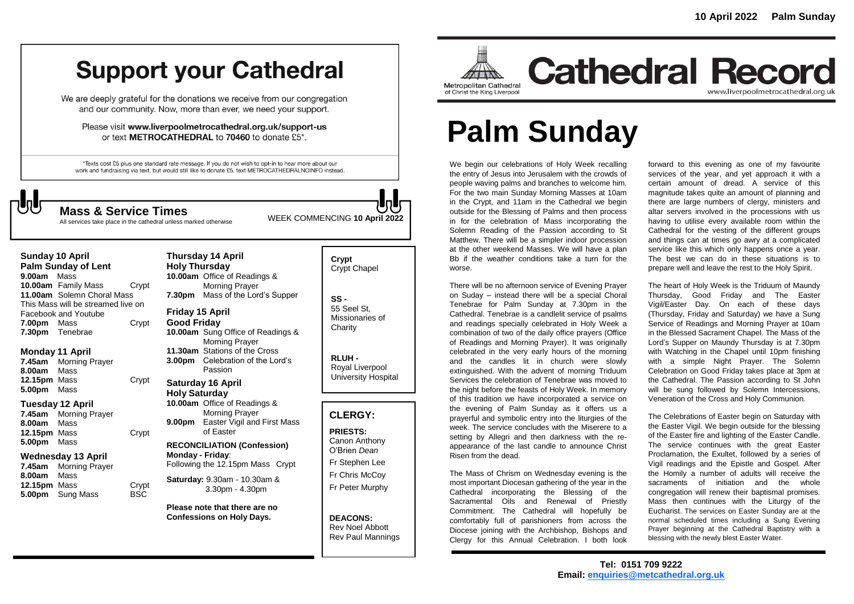## **Support your Cathedral**

We are deeply grateful for the donations we receive from our congregation and our community. Now, more than ever, we need your support.

Please visit www.liverpoolmetrocathedral.org.uk/support-us or text METROCATHEDRAL to 70460 to donate £5\*.

\*Texts cost £5 plus one standard rate message. If you do not wish to opt-in to hear more about our work and fundraising via text, but would still like to donate £5, text METROCATHEDRALNOINFO instead.

All services take place in the cathedral unless marked otherwise

**Thursday 14 April** 

WEEK COMMENCING **<sup>10</sup> April <sup>2022</sup> Mass & Service Times**

### **Sunday 10 April**

**Palm Sunday of Lent 9.00am** Mass **10.00am** Family Mass Crypt **11.00am** Solemn Choral Mass This Mass will be streamed live on Facebook and Youtube **7.00pm** Mass Crypt **7.30pm** Tenebrae

#### **Monday 11 April**

**7.45am** Morning Prayer **8.00am** Mass **12.15pm** Mass **Crypt 5.00pm** Mass

#### **Tuesday 12 April**

**7.45am** Morning Prayer **8.00am** Mass **12.15pm** Mass Crypt **5.00pm** Mass

#### **Wednesday 13 April**

**7.45am** Morning Prayer **8.00am** Mass **12.15pm** Mass Crypt<br> **5.00pm** Sung Mass BSC **5.00pm** Sung Mass

#### **Holy Thursday 10.00am** Office of Readings & Morning Prayer **7.30pm** Mass of the Lord's Supper **Friday 15 April**

**Good Friday 10.00am** Sung Office of Readings & Morning Prayer **11.30am** Stations of the Cross **3.00pm** Celebration of the Lord's Passion

#### **Saturday 16 April Holy Saturday**

**10.00am** Office of Readings & Morning Prayer **9.00pm** Easter Vigil and First Mass of Easter

#### **RECONCILIATION (Confession) Monday - Friday**: Following the 12.15pm Mass Crypt

**Saturday:** 9.30am - 10.30am & 3.30pm - 4.30pm

**Please note that there are no Confessions on Holy Days.**

#### **Crypt**  Crypt Chapel

**SS -** 55 Seel St, Missionaries of **Charity** 

> **RLUH -** Royal Liverpool University Hospital

#### **CLERGY:**

**PRIESTS:** Canon Anthony O'Brien *Dean* Fr Stephen Lee Fr Chris McCoy Fr Peter Murphy

**DEACONS:** Rev Noel Abbott Rev Paul Mannings



## **Cathedral Record** www.liverpoolmetrocathedral.org.uk

# **Palm Sunday**

We begin our celebrations of Holy Week recalling the entry of Jesus into Jerusalem with the crowds of people waving palms and branches to welcome him. For the two main Sunday Morning Masses at 10am in the Crypt, and 11am in the Cathedral we begin outside for the Blessing of Palms and then process in for the celebration of Mass incorporating the Solemn Reading of the Passion according to St Matthew. There will be a simpler indoor procession at the other weekend Masses. We will have a plan Bb if the weather conditions take a turn for the worse.

There will be no afternoon service of Evening Prayer on Suday – instead there will be a special Choral Tenebrae for Palm Sunday at 7.30pm in the Cathedral. Tenebrae is a candlelit service of psalms and readings specially celebrated in Holy Week a combination of two of the daily office prayers (Office of Readings and Morning Prayer). It was originally celebrated in the very early hours of the morning and the candles lit in church were slowly extinguished. With the advent of morning Triduum Services the celebration of Tenebrae was moved to the night before the feasts of Holy Week. In memory of this tradition we have incorporated a service on the evening of Palm Sunday as it offers us a prayerful and symbolic entry into the liturgies of the week. The service concludes with the Miserere to a setting by Allegri and then darkness with the reappearance of the last candle to announce Christ Risen from the dead.

The Mass of Chrism on Wednesday evening is the most important Diocesan gathering of the year in the Cathedral incorporating the Blessing of the Sacramental Oils and Renewal of Priestly Commitment. The Cathedral will hopefully be comfortably full of parishioners from across the Diocese joining with the Archbishop, Bishops and Clergy for this Annual Celebration. I both look

forward to this evening as one of my favourite services of the year, and yet approach it with a certain amount of dread. A service of this magnitude takes quite an amount of planning and there are large numbers of clergy, ministers and altar servers involved in the processions with us having to utilise every available room within the Cathedral for the vesting of the different groups and things can at times go awry at a complicated service like this which only happens once a year. The best we can do in these situations is to prepare well and leave the rest to the Holy Spirit.

The heart of Holy Week is the Triduum of Maundy Thursday, Good Friday and The Easter Vigil/Easter Day. On each of these days (Thursday, Friday and Saturday) we have a Sung Service of Readings and Morning Prayer at 10am in the Blessed Sacrament Chapel. The Mass of the Lord's Supper on Maundy Thursday is at 7.30pm with Watching in the Chapel until 10pm finishing with a simple Night Prayer. The Solemn Celebration on Good Friday takes place at 3pm at the Cathedral. The Passion according to St John will be sung followed by Solemn Intercessions, Veneration of the Cross and Holy Communion.

The Celebrations of Easter begin on Saturday with the Easter Vigil. We begin outside for the blessing of the Easter fire and lighting of the Easter Candle. The service continues with the great Easter Proclamation, the Exultet, followed by a series of Vigil readings and the Epistle and Gospel. After the Homily a number of adults will receive the sacraments of initiation and the whole congregation will renew their baptismal promises. Mass then continues with the Liturgy of the Eucharist. The services on Easter Sunday are at the normal scheduled times including a Sung Evening Prayer beginning at the Cathedral Baptistry with a blessing with the newly blest Easter Water.